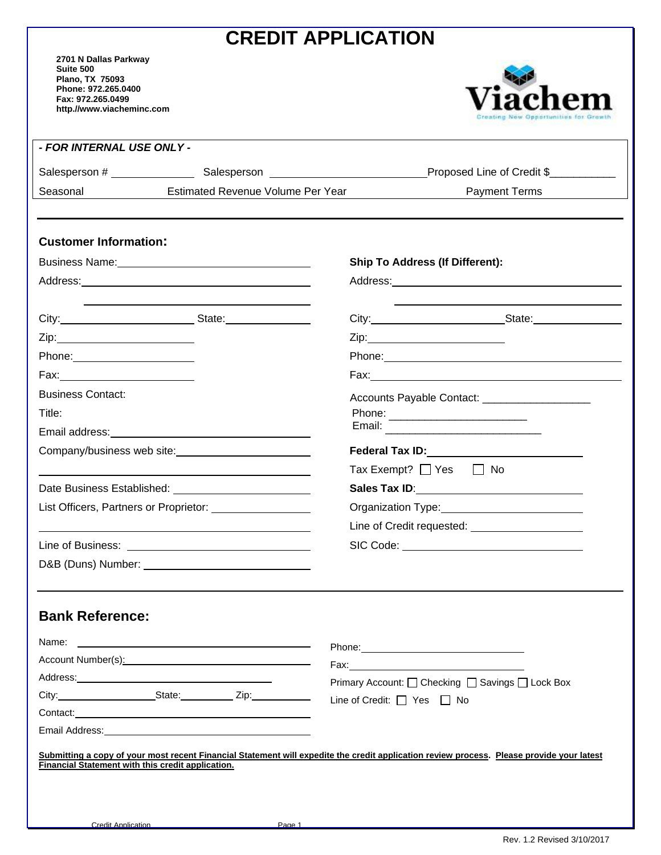## **CREDIT APPLICATION**

**2701 N Dallas Parkway Suite 500 Plano, TX 75093 Phone: 972.265.0400 Fax: 972.265.0499 http.//www.viacheminc.com** 



|                                                                                                               |                                                                                                                                                                                                                               | Proposed Line of Credit \$                                                                                                                                                                                                     |  |
|---------------------------------------------------------------------------------------------------------------|-------------------------------------------------------------------------------------------------------------------------------------------------------------------------------------------------------------------------------|--------------------------------------------------------------------------------------------------------------------------------------------------------------------------------------------------------------------------------|--|
| Seasonal                                                                                                      | Estimated Revenue Volume Per Year                                                                                                                                                                                             | <b>Payment Terms</b>                                                                                                                                                                                                           |  |
| <b>Customer Information:</b>                                                                                  |                                                                                                                                                                                                                               |                                                                                                                                                                                                                                |  |
|                                                                                                               |                                                                                                                                                                                                                               | <b>Ship To Address (If Different):</b>                                                                                                                                                                                         |  |
|                                                                                                               |                                                                                                                                                                                                                               |                                                                                                                                                                                                                                |  |
|                                                                                                               |                                                                                                                                                                                                                               |                                                                                                                                                                                                                                |  |
|                                                                                                               | City: City: City: City: City: City: City: City: City: City: City: City: City: City: City: City: City: City: City: City: City: City: City: City: City: City: City: City: City: City: City: City: City: City: City: City: City: | City: City: City: City: City: City: City: City: City: City: City: City: City: City: City: City: City: City: City: City: City: City: City: City: City: City: City: City: City: City: City: City: City: City: City: City: City:  |  |
|                                                                                                               |                                                                                                                                                                                                                               |                                                                                                                                                                                                                                |  |
| Phone: 2000 2010 2010 2010 2020 2020 2021 2021 2022 2021 2021 2021 2022 2022 2023 2024 2022 2023 2024 2025 20 |                                                                                                                                                                                                                               |                                                                                                                                                                                                                                |  |
| Fax:____________________________                                                                              |                                                                                                                                                                                                                               |                                                                                                                                                                                                                                |  |
| <b>Business Contact:</b>                                                                                      |                                                                                                                                                                                                                               | Accounts Payable Contact: __________________                                                                                                                                                                                   |  |
| Title:                                                                                                        |                                                                                                                                                                                                                               |                                                                                                                                                                                                                                |  |
|                                                                                                               | Email address: <u>contract and a series</u> and an anti-                                                                                                                                                                      |                                                                                                                                                                                                                                |  |
|                                                                                                               |                                                                                                                                                                                                                               | Federal Tax ID: Note that I amount the Contract of the Contract of Tax III and Tax III among the Contract of Ta                                                                                                                |  |
|                                                                                                               |                                                                                                                                                                                                                               | Tax Exempt? $\Box$ Yes $\Box$ No                                                                                                                                                                                               |  |
| Date Business Established: 2008 2010 2021 2022 2023                                                           |                                                                                                                                                                                                                               |                                                                                                                                                                                                                                |  |
| List Officers, Partners or Proprietor: ___________________                                                    |                                                                                                                                                                                                                               |                                                                                                                                                                                                                                |  |
|                                                                                                               |                                                                                                                                                                                                                               | Line of Credit requested: _______________________                                                                                                                                                                              |  |
|                                                                                                               |                                                                                                                                                                                                                               |                                                                                                                                                                                                                                |  |
|                                                                                                               |                                                                                                                                                                                                                               |                                                                                                                                                                                                                                |  |
|                                                                                                               |                                                                                                                                                                                                                               |                                                                                                                                                                                                                                |  |
|                                                                                                               |                                                                                                                                                                                                                               |                                                                                                                                                                                                                                |  |
| <b>Bank Reference:</b>                                                                                        |                                                                                                                                                                                                                               |                                                                                                                                                                                                                                |  |
|                                                                                                               |                                                                                                                                                                                                                               | Phone: Note: Note: Note: Note: Note: Note: Note: Note: Note: Note: Note: Note: Note: Note: Note: Note: Note: Note: Note: Note: Note: Note: Note: Note: Note: Note: Note: Note: Note: Note: Note: Note: Note: Note: Note: Note: |  |
| Account Number(s): Network and Account Number(s):                                                             |                                                                                                                                                                                                                               |                                                                                                                                                                                                                                |  |
|                                                                                                               |                                                                                                                                                                                                                               | Primary Account: Ochecking OSavings OLock Box                                                                                                                                                                                  |  |
|                                                                                                               | City: City: City: City:                                                                                                                                                                                                       | Line of Credit: □ Yes □ No                                                                                                                                                                                                     |  |
|                                                                                                               |                                                                                                                                                                                                                               |                                                                                                                                                                                                                                |  |
|                                                                                                               |                                                                                                                                                                                                                               |                                                                                                                                                                                                                                |  |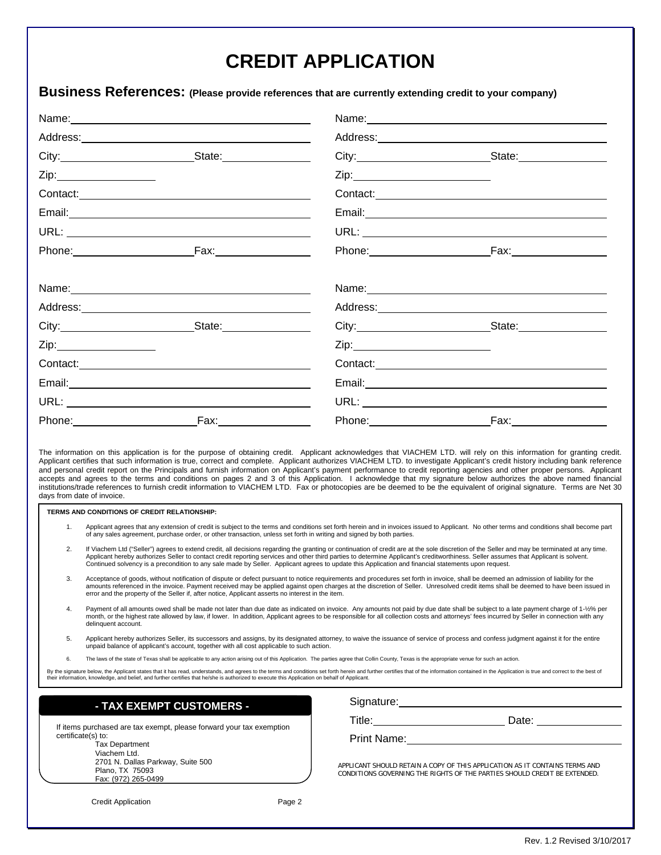## **CREDIT APPLICATION**

## **Business References: (Please provide references that are currently extending credit to your company)**

| Name: 2008.000 2009.000 2009.000 2009.000 2009.000 2009.000 2009.000 2009.000 2009.000 2009.000 2009.000 2009.000 2009.000 2009.000 2009.000 2009.000 2009.000 2009.000 2009.000 2009.000 2009.000 2009.000 2009.000 2009.000 |                                                                                                                                                                                                                                                                                                                                                                                                                                                                                                                                                                                                                                                                                                                                                                                                                                                                                                                                                                                       |                                                                                                          |                                                       |  |  |
|-------------------------------------------------------------------------------------------------------------------------------------------------------------------------------------------------------------------------------|---------------------------------------------------------------------------------------------------------------------------------------------------------------------------------------------------------------------------------------------------------------------------------------------------------------------------------------------------------------------------------------------------------------------------------------------------------------------------------------------------------------------------------------------------------------------------------------------------------------------------------------------------------------------------------------------------------------------------------------------------------------------------------------------------------------------------------------------------------------------------------------------------------------------------------------------------------------------------------------|----------------------------------------------------------------------------------------------------------|-------------------------------------------------------|--|--|
|                                                                                                                                                                                                                               |                                                                                                                                                                                                                                                                                                                                                                                                                                                                                                                                                                                                                                                                                                                                                                                                                                                                                                                                                                                       |                                                                                                          |                                                       |  |  |
|                                                                                                                                                                                                                               |                                                                                                                                                                                                                                                                                                                                                                                                                                                                                                                                                                                                                                                                                                                                                                                                                                                                                                                                                                                       |                                                                                                          | City: State: State:                                   |  |  |
|                                                                                                                                                                                                                               | Zip:___________________                                                                                                                                                                                                                                                                                                                                                                                                                                                                                                                                                                                                                                                                                                                                                                                                                                                                                                                                                               |                                                                                                          |                                                       |  |  |
|                                                                                                                                                                                                                               |                                                                                                                                                                                                                                                                                                                                                                                                                                                                                                                                                                                                                                                                                                                                                                                                                                                                                                                                                                                       |                                                                                                          |                                                       |  |  |
|                                                                                                                                                                                                                               |                                                                                                                                                                                                                                                                                                                                                                                                                                                                                                                                                                                                                                                                                                                                                                                                                                                                                                                                                                                       |                                                                                                          |                                                       |  |  |
|                                                                                                                                                                                                                               |                                                                                                                                                                                                                                                                                                                                                                                                                                                                                                                                                                                                                                                                                                                                                                                                                                                                                                                                                                                       |                                                                                                          |                                                       |  |  |
|                                                                                                                                                                                                                               | Phone: Fax: Fax:                                                                                                                                                                                                                                                                                                                                                                                                                                                                                                                                                                                                                                                                                                                                                                                                                                                                                                                                                                      |                                                                                                          | Phone: Fax: Fax:                                      |  |  |
|                                                                                                                                                                                                                               |                                                                                                                                                                                                                                                                                                                                                                                                                                                                                                                                                                                                                                                                                                                                                                                                                                                                                                                                                                                       |                                                                                                          |                                                       |  |  |
|                                                                                                                                                                                                                               |                                                                                                                                                                                                                                                                                                                                                                                                                                                                                                                                                                                                                                                                                                                                                                                                                                                                                                                                                                                       |                                                                                                          |                                                       |  |  |
|                                                                                                                                                                                                                               | City: City: State:                                                                                                                                                                                                                                                                                                                                                                                                                                                                                                                                                                                                                                                                                                                                                                                                                                                                                                                                                                    |                                                                                                          | City: State: State:                                   |  |  |
|                                                                                                                                                                                                                               |                                                                                                                                                                                                                                                                                                                                                                                                                                                                                                                                                                                                                                                                                                                                                                                                                                                                                                                                                                                       |                                                                                                          |                                                       |  |  |
|                                                                                                                                                                                                                               |                                                                                                                                                                                                                                                                                                                                                                                                                                                                                                                                                                                                                                                                                                                                                                                                                                                                                                                                                                                       |                                                                                                          |                                                       |  |  |
|                                                                                                                                                                                                                               |                                                                                                                                                                                                                                                                                                                                                                                                                                                                                                                                                                                                                                                                                                                                                                                                                                                                                                                                                                                       |                                                                                                          |                                                       |  |  |
|                                                                                                                                                                                                                               |                                                                                                                                                                                                                                                                                                                                                                                                                                                                                                                                                                                                                                                                                                                                                                                                                                                                                                                                                                                       |                                                                                                          |                                                       |  |  |
|                                                                                                                                                                                                                               | Fax.                                                                                                                                                                                                                                                                                                                                                                                                                                                                                                                                                                                                                                                                                                                                                                                                                                                                                                                                                                                  | Phone: National Assembly Phone: National Assembly Phone: National Assembly Phone Assembly Phone Assembly | <u>Fax:________________</u> _                         |  |  |
| 1.                                                                                                                                                                                                                            | Applicant certifies that such information is true, correct and complete. Applicant authorizes VIACHEM LTD. to investigate Applicant's credit history including bank reference<br>and personal credit report on the Principals and furnish information on Applicant's payment performance to credit reporting agencies and other proper persons. Applicant<br>accepts and agrees to the terms and conditions on pages 2 and 3 of this Application. I acknowledge that my signature below authorizes the above named financial<br>institutions/trade references to furnish credit information to VIACHEM LTD. Fax or photocopies are be deemed to be the equivalent of original signature. Terms are Net 30<br>days from date of invoice.<br>TERMS AND CONDITIONS OF CREDIT RELATIONSHIP:<br>Applicant agrees that any extension of credit is subject to the terms and conditions set forth herein and in invoices issued to Applicant. No other terms and conditions shall become part |                                                                                                          |                                                       |  |  |
| 2.                                                                                                                                                                                                                            | of any sales agreement, purchase order, or other transaction, unless set forth in writing and signed by both parties.<br>If Viachem Ltd ("Seller") agrees to extend credit, all decisions regarding the granting or continuation of credit are at the sole discretion of the Seller and may be terminated at any time.<br>Applicant hereby authorizes Seller to contact credit reporting services and other third parties to determine Applicant's creditworthiness. Seller assumes that Applicant is solvent.<br>Continued solvency is a precondition to any sale made by Seller. Applicant agrees to update this Application and financial statements upon request.                                                                                                                                                                                                                                                                                                                 |                                                                                                          |                                                       |  |  |
| 3.                                                                                                                                                                                                                            | Acceptance of goods, without notification of dispute or defect pursuant to notice requirements and procedures set forth in invoice, shall be deemed an admission of liability for the<br>amounts referenced in the invoice. Payment received may be applied against open charges at the discretion of Seller. Unresolved credit items shall be deemed to have been issued in<br>error and the property of the Seller if, after notice, Applicant asserts no interest in the item.                                                                                                                                                                                                                                                                                                                                                                                                                                                                                                     |                                                                                                          |                                                       |  |  |
| 4.                                                                                                                                                                                                                            | Payment of all amounts owed shall be made not later than due date as indicated on invoice. Any amounts not paid by due date shall be subject to a late payment charge of 1-1/2% per<br>month, or the highest rate allowed by law, if lower. In addition, Applicant agrees to be responsible for all collection costs and attorneys' fees incurred by Seller in connection with any<br>delinguent account.                                                                                                                                                                                                                                                                                                                                                                                                                                                                                                                                                                             |                                                                                                          |                                                       |  |  |
| 5.                                                                                                                                                                                                                            | Applicant hereby authorizes Seller, its successors and assigns, by its designated attorney, to waive the issuance of service of process and confess judgment against it for the entire<br>unpaid balance of applicant's account, together with all cost applicable to such action.                                                                                                                                                                                                                                                                                                                                                                                                                                                                                                                                                                                                                                                                                                    |                                                                                                          |                                                       |  |  |
| 6.                                                                                                                                                                                                                            | The laws of the state of Texas shall be applicable to any action arising out of this Application. The parties agree that Collin County, Texas is the appropriate venue for such an action.                                                                                                                                                                                                                                                                                                                                                                                                                                                                                                                                                                                                                                                                                                                                                                                            |                                                                                                          |                                                       |  |  |
|                                                                                                                                                                                                                               | By the signature below, the Applicant states that it has read, understands, and agrees to the terms and conditions set forth herein and further certifies that of the information contained in the Application is true and cor<br>their information, knowledge, and belief, and further certifies that he/she is authorized to execute this Application on behalf of Applicant.                                                                                                                                                                                                                                                                                                                                                                                                                                                                                                                                                                                                       |                                                                                                          |                                                       |  |  |
|                                                                                                                                                                                                                               | - TAX EXEMPT CUSTOMERS -                                                                                                                                                                                                                                                                                                                                                                                                                                                                                                                                                                                                                                                                                                                                                                                                                                                                                                                                                              |                                                                                                          | Signature: Management Communication of the Signature: |  |  |
|                                                                                                                                                                                                                               |                                                                                                                                                                                                                                                                                                                                                                                                                                                                                                                                                                                                                                                                                                                                                                                                                                                                                                                                                                                       |                                                                                                          |                                                       |  |  |
| If items purchased are tax exempt, please forward your tax exemption<br>certificate(s) to:<br>Toy Donortmont                                                                                                                  |                                                                                                                                                                                                                                                                                                                                                                                                                                                                                                                                                                                                                                                                                                                                                                                                                                                                                                                                                                                       |                                                                                                          | Print Name: <u>_______________________________</u>    |  |  |

APPLICANT SHOULD RETAIN A COPY OF THIS APPLICATION AS IT CONTAINS TERMS AND CONDITIONS GOVERNING THE RIGHTS OF THE PARTIES SHOULD CREDIT BE EXTENDED.

Credit Application **Page 2** 

 2701 N. Dallas Parkway, Suite 500 Plano, TX 75093 Fax: (972) 265-0499

 Tax Department Viachem Ltd.